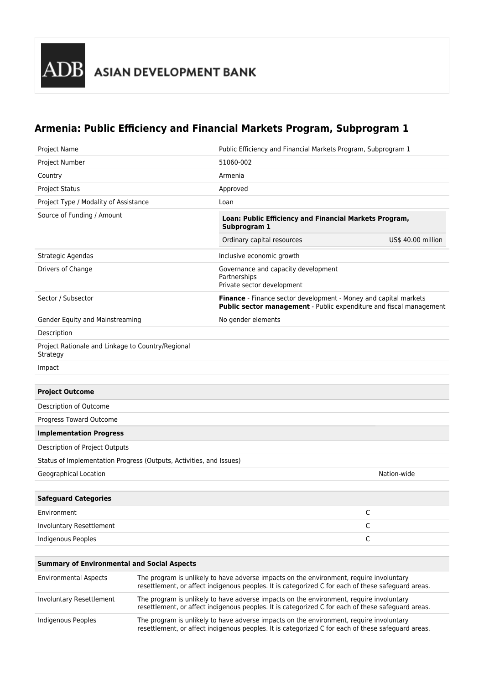## **Armenia: Public Efficiency and Financial Markets Program, Subprogram 1**

| <b>Project Name</b>                                                 |                                                                                                                                                                                               | Public Efficiency and Financial Markets Program, Subprogram 1                                                                           |                    |
|---------------------------------------------------------------------|-----------------------------------------------------------------------------------------------------------------------------------------------------------------------------------------------|-----------------------------------------------------------------------------------------------------------------------------------------|--------------------|
| Project Number                                                      |                                                                                                                                                                                               | 51060-002                                                                                                                               |                    |
| Country                                                             |                                                                                                                                                                                               | Armenia                                                                                                                                 |                    |
| <b>Project Status</b>                                               |                                                                                                                                                                                               | Approved                                                                                                                                |                    |
| Project Type / Modality of Assistance                               |                                                                                                                                                                                               | Loan                                                                                                                                    |                    |
| Source of Funding / Amount                                          |                                                                                                                                                                                               | Loan: Public Efficiency and Financial Markets Program,<br>Subprogram 1                                                                  |                    |
|                                                                     |                                                                                                                                                                                               | Ordinary capital resources                                                                                                              | US\$ 40.00 million |
| Strategic Agendas                                                   |                                                                                                                                                                                               | Inclusive economic growth                                                                                                               |                    |
| Drivers of Change                                                   |                                                                                                                                                                                               | Governance and capacity development<br>Partnerships<br>Private sector development                                                       |                    |
| Sector / Subsector                                                  |                                                                                                                                                                                               | Finance - Finance sector development - Money and capital markets<br>Public sector management - Public expenditure and fiscal management |                    |
| Gender Equity and Mainstreaming                                     |                                                                                                                                                                                               | No gender elements                                                                                                                      |                    |
| Description                                                         |                                                                                                                                                                                               |                                                                                                                                         |                    |
| Project Rationale and Linkage to Country/Regional<br>Strategy       |                                                                                                                                                                                               |                                                                                                                                         |                    |
| Impact                                                              |                                                                                                                                                                                               |                                                                                                                                         |                    |
|                                                                     |                                                                                                                                                                                               |                                                                                                                                         |                    |
| <b>Project Outcome</b>                                              |                                                                                                                                                                                               |                                                                                                                                         |                    |
| Description of Outcome                                              |                                                                                                                                                                                               |                                                                                                                                         |                    |
| Progress Toward Outcome                                             |                                                                                                                                                                                               |                                                                                                                                         |                    |
| <b>Implementation Progress</b>                                      |                                                                                                                                                                                               |                                                                                                                                         |                    |
| Description of Project Outputs                                      |                                                                                                                                                                                               |                                                                                                                                         |                    |
| Status of Implementation Progress (Outputs, Activities, and Issues) |                                                                                                                                                                                               |                                                                                                                                         |                    |
| Geographical Location                                               |                                                                                                                                                                                               |                                                                                                                                         | Nation-wide        |
|                                                                     |                                                                                                                                                                                               |                                                                                                                                         |                    |
| <b>Safeguard Categories</b>                                         |                                                                                                                                                                                               |                                                                                                                                         |                    |
| Environment                                                         |                                                                                                                                                                                               |                                                                                                                                         | С                  |
| Involuntary Resettlement                                            |                                                                                                                                                                                               |                                                                                                                                         | С                  |
| Indigenous Peoples                                                  |                                                                                                                                                                                               |                                                                                                                                         | С                  |
|                                                                     |                                                                                                                                                                                               |                                                                                                                                         |                    |
| <b>Summary of Environmental and Social Aspects</b>                  |                                                                                                                                                                                               |                                                                                                                                         |                    |
| <b>Environmental Aspects</b>                                        | The program is unlikely to have adverse impacts on the environment, require involuntary<br>resettlement, or affect indigenous peoples. It is categorized C for each of these safeguard areas. |                                                                                                                                         |                    |

| Involuntary Resettlement | The program is unlikely to have adverse impacts on the environment, require involuntary<br>resettlement, or affect indigenous peoples. It is categorized C for each of these safeguard areas. |
|--------------------------|-----------------------------------------------------------------------------------------------------------------------------------------------------------------------------------------------|
| Indigenous Peoples       | The program is unlikely to have adverse impacts on the environment, require involuntary<br>resettlement, or affect indigenous peoples. It is categorized C for each of these safeguard areas. |